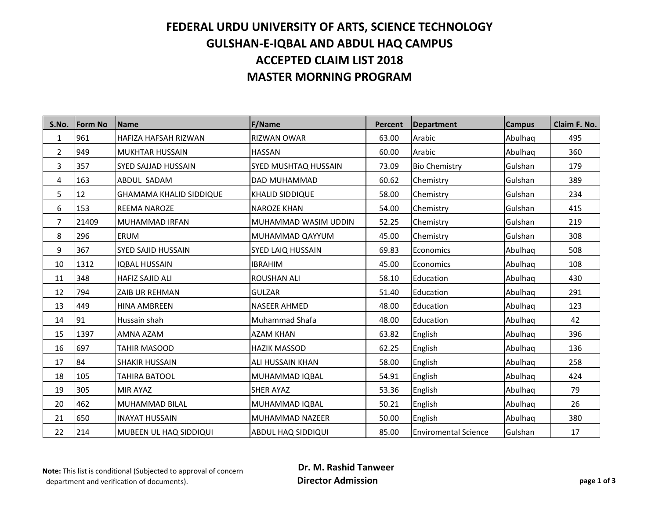## **FEDERAL URDU UNIVERSITY OF ARTS, SCIENCE TECHNOLOGY GULSHAN-E-IQBAL AND ABDUL HAQ CAMPUS ACCEPTED CLAIM LIST 2018 MASTER MORNING PROGRAM**

| S.No.          | <b>Form No</b> | Name                           | <b>F/Name</b>          | <b>Percent</b> | Department                  | <b>Campus</b> | Claim F. No. |
|----------------|----------------|--------------------------------|------------------------|----------------|-----------------------------|---------------|--------------|
| $\mathbf{1}$   | 961            | <b>HAFIZA HAFSAH RIZWAN</b>    | <b>RIZWAN OWAR</b>     | 63.00          | Arabic                      | Abulhaq       | 495          |
| $\overline{2}$ | 949            | <b>MUKHTAR HUSSAIN</b>         | <b>HASSAN</b>          | 60.00          | Arabic                      | Abulhaq       | 360          |
| 3              | 357            | ISYED SAJJAD HUSSAIN           | SYED MUSHTAQ HUSSAIN   | 73.09          | <b>Bio Chemistry</b>        | Gulshan       | 179          |
| 4              | 163            | ABDUL SADAM                    | DAD MUHAMMAD           | 60.62          | Chemistry                   | Gulshan       | 389          |
| 5              | 12             | <b>GHAMAMA KHALID SIDDIQUE</b> | <b>KHALID SIDDIQUE</b> | 58.00          | Chemistry                   | Gulshan       | 234          |
| 6              | 153            | <b>REEMA NAROZE</b>            | <b>NAROZE KHAN</b>     | 54.00          | Chemistry                   | Gulshan       | 415          |
| 7              | 21409          | MUHAMMAD IRFAN                 | MUHAMMAD WASIM UDDIN   | 52.25          | Chemistry                   | Gulshan       | 219          |
| 8              | 296            | <b>ERUM</b>                    | MUHAMMAD QAYYUM        | 45.00          | Chemistry                   | Gulshan       | 308          |
| 9              | 367            | <b>SYED SAJID HUSSAIN</b>      | SYED LAIQ HUSSAIN      | 69.83          | Economics                   | Abulhaq       | 508          |
| 10             | 1312           | <b>IQBAL HUSSAIN</b>           | <b>IBRAHIM</b>         | 45.00          | Economics                   | Abulhaq       | 108          |
| 11             | 348            | HAFIZ SAJID ALI                | <b>ROUSHAN ALI</b>     | 58.10          | Education                   | Abulhaq       | 430          |
| 12             | 794            | <b>ZAIB UR REHMAN</b>          | <b>GULZAR</b>          | 51.40          | Education                   | Abulhaq       | 291          |
| 13             | 449            | <b>HINA AMBREEN</b>            | <b>NASEER AHMED</b>    | 48.00          | Education                   | Abulhaq       | 123          |
| 14             | 91             | Hussain shah                   | Muhammad Shafa         | 48.00          | Education                   | Abulhaq       | 42           |
| 15             | 1397           | AMNA AZAM                      | <b>AZAM KHAN</b>       | 63.82          | English                     | Abulhaq       | 396          |
| 16             | 697            | <b>TAHIR MASOOD</b>            | <b>HAZIK MASSOD</b>    | 62.25          | English                     | Abulhaq       | 136          |
| 17             | 84             | <b>SHAKIR HUSSAIN</b>          | ALI HUSSAIN KHAN       | 58.00          | English                     | Abulhaq       | 258          |
| 18             | 105            | <b>TAHIRA BATOOL</b>           | MUHAMMAD IQBAL         | 54.91          | English                     | Abulhaq       | 424          |
| 19             | 305            | <b>MIR AYAZ</b>                | <b>SHER AYAZ</b>       | 53.36          | English                     | Abulhaq       | 79           |
| 20             | 462            | MUHAMMAD BILAL                 | MUHAMMAD IQBAL         | 50.21          | English                     | Abulhaq       | 26           |
| 21             | 650            | IINAYAT HUSSAIN                | MUHAMMAD NAZEER        | 50.00          | English                     | Abulhaq       | 380          |
| 22             | 214            | MUBEEN UL HAQ SIDDIQUI         | ABDUL HAQ SIDDIQUI     | 85.00          | <b>Enviromental Science</b> | Gulshan       | 17           |

**Note:** This list is conditional (Subjected to approval of concern department and verification of documents).

 **Dr. M. Rashid Tanweer Director Admission page 1 of 3**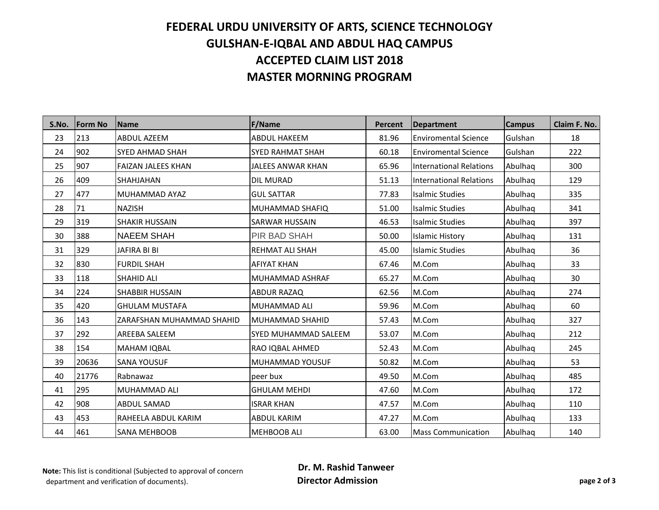## **FEDERAL URDU UNIVERSITY OF ARTS, SCIENCE TECHNOLOGY GULSHAN-E-IQBAL AND ABDUL HAQ CAMPUS ACCEPTED CLAIM LIST 2018 MASTER MORNING PROGRAM**

| S.No. | <b>Form No</b> | <b>Name</b>               | <b>F/Name</b>               | <b>Percent</b> | <b>Department</b>              | <b>Campus</b> | Claim F. No. |
|-------|----------------|---------------------------|-----------------------------|----------------|--------------------------------|---------------|--------------|
| 23    | 213            | <b>ABDUL AZEEM</b>        | <b>ABDUL HAKEEM</b>         | 81.96          | <b>Enviromental Science</b>    | Gulshan       | 18           |
| 24    | 902            | <b>SYED AHMAD SHAH</b>    | <b>SYED RAHMAT SHAH</b>     | 60.18          | <b>Enviromental Science</b>    | Gulshan       | 222          |
| 25    | 907            | <b>FAIZAN JALEES KHAN</b> | JALEES ANWAR KHAN           | 65.96          | <b>International Relations</b> | Abulhaq       | 300          |
| 26    | 409            | <b>SHAHJAHAN</b>          | <b>DIL MURAD</b>            | 51.13          | <b>International Relations</b> | Abulhaq       | 129          |
| 27    | 477            | MUHAMMAD AYAZ             | <b>GUL SATTAR</b>           | 77.83          | <b>Isalmic Studies</b>         | Abulhaq       | 335          |
| 28    | 71             | <b>NAZISH</b>             | MUHAMMAD SHAFIQ             | 51.00          | <b>Isalmic Studies</b>         | Abulhaq       | 341          |
| 29    | 319            | <b>SHAKIR HUSSAIN</b>     | <b>SARWAR HUSSAIN</b>       | 46.53          | <b>Isalmic Studies</b>         | Abulhaq       | 397          |
| 30    | 388            | <b>NAEEM SHAH</b>         | <b>PIR BAD SHAH</b>         | 50.00          | <b>Islamic History</b>         | Abulhaq       | 131          |
| 31    | 329            | JAFIRA BI BI              | <b>REHMAT ALI SHAH</b>      | 45.00          | <b>Islamic Studies</b>         | Abulhaq       | 36           |
| 32    | 830            | <b>FURDIL SHAH</b>        | <b>AFIYAT KHAN</b>          | 67.46          | M.Com                          | Abulhaq       | 33           |
| 33    | 118            | <b>SHAHID ALI</b>         | MUHAMMAD ASHRAF             | 65.27          | M.Com                          | Abulhaq       | 30           |
| 34    | 224            | <b>SHABBIR HUSSAIN</b>    | <b>ABDUR RAZAQ</b>          | 62.56          | M.Com                          | Abulhaq       | 274          |
| 35    | 420            | <b>GHULAM MUSTAFA</b>     | MUHAMMAD ALI                | 59.96          | M.Com                          | Abulhaq       | 60           |
| 36    | 143            | ZARAFSHAN MUHAMMAD SHAHID | MUHAMMAD SHAHID             | 57.43          | M.Com                          | Abulhaq       | 327          |
| 37    | 292            | AREEBA SALEEM             | <b>SYED MUHAMMAD SALEEM</b> | 53.07          | M.Com                          | Abulhaq       | 212          |
| 38    | 154            | <b>MAHAM IQBAL</b>        | RAO IQBAL AHMED             | 52.43          | M.Com                          | Abulhaq       | 245          |
| 39    | 20636          | <b>SANA YOUSUF</b>        | MUHAMMAD YOUSUF             | 50.82          | M.Com                          | Abulhaq       | 53           |
| 40    | 21776          | Rabnawaz                  | peer bux                    | 49.50          | M.Com                          | Abulhaq       | 485          |
| 41    | 295            | <b>MUHAMMAD ALI</b>       | <b>GHULAM MEHDI</b>         | 47.60          | M.Com                          | Abulhaq       | 172          |
| 42    | 908            | <b>ABDUL SAMAD</b>        | <b>ISRAR KHAN</b>           | 47.57          | M.Com                          | Abulhaq       | 110          |
| 43    | 453            | RAHEELA ABDUL KARIM       | <b>ABDUL KARIM</b>          | 47.27          | M.Com                          | Abulhaq       | 133          |
| 44    | 461            | <b>SANA MEHBOOB</b>       | <b>MEHBOOB ALI</b>          | 63.00          | <b>Mass Communication</b>      | Abulhaq       | 140          |

**Note:** This list is conditional (Subjected to approval of concern department and verification of documents).

 **Dr. M. Rashid Tanweer Director Admission page 2 of 3**